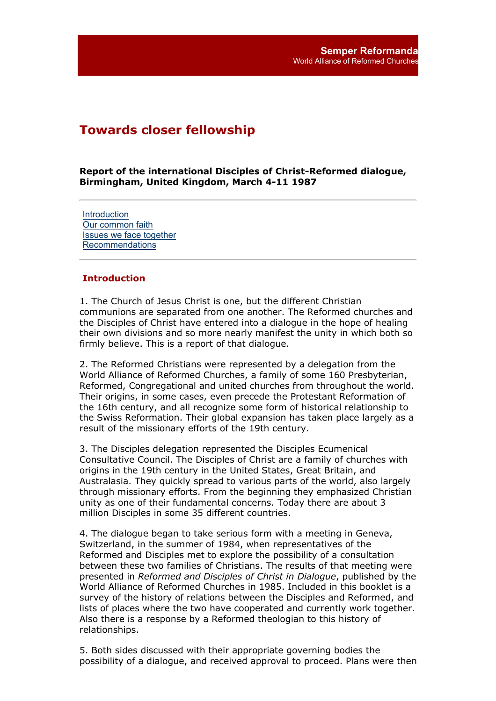# **Towards closer fellowship**

**Report of the international Disciples of Christ-Reformed dialogue, Birmingham, United Kingdom, March 4-11 1987**

**Introduction** Our common faith Issues we face together Recommendations

#### **Introduction**

1. The Church of Jesus Christ is one, but the different Christian communions are separated from one another. The Reformed churches and the Disciples of Christ have entered into a dialogue in the hope of healing their own divisions and so more nearly manifest the unity in which both so firmly believe. This is a report of that dialogue.

2. The Reformed Christians were represented by a delegation from the World Alliance of Reformed Churches, a family of some 160 Presbyterian, Reformed, Congregational and united churches from throughout the world. Their origins, in some cases, even precede the Protestant Reformation of the 16th century, and all recognize some form of historical relationship to the Swiss Reformation. Their global expansion has taken place largely as a result of the missionary efforts of the 19th century.

3. The Disciples delegation represented the Disciples Ecumenical Consultative Council. The Disciples of Christ are a family of churches with origins in the 19th century in the United States, Great Britain, and Australasia. They quickly spread to various parts of the world, also largely through missionary efforts. From the beginning they emphasized Christian unity as one of their fundamental concerns. Today there are about 3 million Disciples in some 35 different countries.

4. The dialogue began to take serious form with a meeting in Geneva, Switzerland, in the summer of 1984, when representatives of the Reformed and Disciples met to explore the possibility of a consultation between these two families of Christians. The results of that meeting were presented in *Reformed and Disciples of Christ in Dialogue*, published by the World Alliance of Reformed Churches in 1985. Included in this booklet is a survey of the history of relations between the Disciples and Reformed, and lists of places where the two have cooperated and currently work together. Also there is a response by a Reformed theologian to this history of relationships.

5. Both sides discussed with their appropriate governing bodies the possibility of a dialogue, and received approval to proceed. Plans were then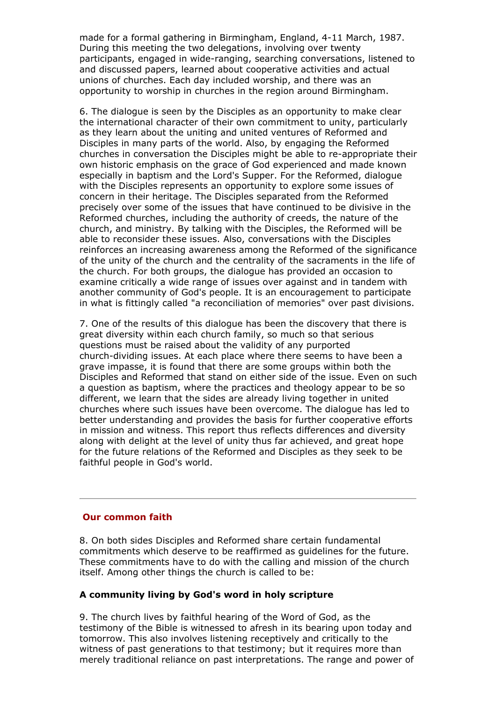made for a formal gathering in Birmingham, England, 4-11 March, 1987. During this meeting the two delegations, involving over twenty participants, engaged in wide-ranging, searching conversations, listened to and discussed papers, learned about cooperative activities and actual unions of churches. Each day included worship, and there was an opportunity to worship in churches in the region around Birmingham.

6. The dialogue is seen by the Disciples as an opportunity to make clear the international character of their own commitment to unity, particularly as they learn about the uniting and united ventures of Reformed and Disciples in many parts of the world. Also, by engaging the Reformed churches in conversation the Disciples might be able to re-appropriate their own historic emphasis on the grace of God experienced and made known especially in baptism and the Lord's Supper. For the Reformed, dialogue with the Disciples represents an opportunity to explore some issues of concern in their heritage. The Disciples separated from the Reformed precisely over some of the issues that have continued to be divisive in the Reformed churches, including the authority of creeds, the nature of the church, and ministry. By talking with the Disciples, the Reformed will be able to reconsider these issues. Also, conversations with the Disciples reinforces an increasing awareness among the Reformed of the significance of the unity of the church and the centrality of the sacraments in the life of the church. For both groups, the dialogue has provided an occasion to examine critically a wide range of issues over against and in tandem with another community of God's people. It is an encouragement to participate in what is fittingly called "a reconciliation of memories" over past divisions.

7. One of the results of this dialogue has been the discovery that there is great diversity within each church family, so much so that serious questions must be raised about the validity of any purported church-dividing issues. At each place where there seems to have been a grave impasse, it is found that there are some groups within both the Disciples and Reformed that stand on either side of the issue. Even on such a question as baptism, where the practices and theology appear to be so different, we learn that the sides are already living together in united churches where such issues have been overcome. The dialogue has led to better understanding and provides the basis for further cooperative efforts in mission and witness. This report thus reflects differences and diversity along with delight at the level of unity thus far achieved, and great hope for the future relations of the Reformed and Disciples as they seek to be faithful people in God's world.

### **Our common faith**

8. On both sides Disciples and Reformed share certain fundamental commitments which deserve to be reaffirmed as guidelines for the future. These commitments have to do with the calling and mission of the church itself. Among other things the church is called to be:

### **A community living by God's word in holy scripture**

9. The church lives by faithful hearing of the Word of God, as the testimony of the Bible is witnessed to afresh in its bearing upon today and tomorrow. This also involves listening receptively and critically to the witness of past generations to that testimony; but it requires more than merely traditional reliance on past interpretations. The range and power of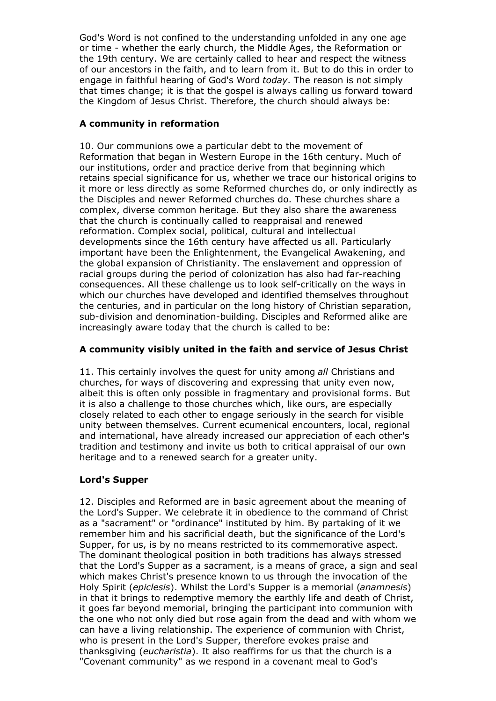God's Word is not confined to the understanding unfolded in any one age or time - whether the early church, the Middle Ages, the Reformation or the 19th century. We are certainly called to hear and respect the witness of our ancestors in the faith, and to learn from it. But to do this in order to engage in faithful hearing of God's Word *today*. The reason is not simply that times change; it is that the gospel is always calling us forward toward the Kingdom of Jesus Christ. Therefore, the church should always be:

# **A community in reformation**

10. Our communions owe a particular debt to the movement of Reformation that began in Western Europe in the 16th century. Much of our institutions, order and practice derive from that beginning which retains special significance for us, whether we trace our historical origins to it more or less directly as some Reformed churches do, or only indirectly as the Disciples and newer Reformed churches do. These churches share a complex, diverse common heritage. But they also share the awareness that the church is continually called to reappraisal and renewed reformation. Complex social, political, cultural and intellectual developments since the 16th century have affected us all. Particularly important have been the Enlightenment, the Evangelical Awakening, and the global expansion of Christianity. The enslavement and oppression of racial groups during the period of colonization has also had far-reaching consequences. All these challenge us to look self-critically on the ways in which our churches have developed and identified themselves throughout the centuries, and in particular on the long history of Christian separation, sub-division and denomination-building. Disciples and Reformed alike are increasingly aware today that the church is called to be:

# **A community visibly united in the faith and service of Jesus Christ**

11. This certainly involves the quest for unity among *all* Christians and churches, for ways of discovering and expressing that unity even now, albeit this is often only possible in fragmentary and provisional forms. But it is also a challenge to those churches which, like ours, are especially closely related to each other to engage seriously in the search for visible unity between themselves. Current ecumenical encounters, local, regional and international, have already increased our appreciation of each other's tradition and testimony and invite us both to critical appraisal of our own heritage and to a renewed search for a greater unity.

# **Lord's Supper**

12. Disciples and Reformed are in basic agreement about the meaning of the Lord's Supper. We celebrate it in obedience to the command of Christ as a "sacrament" or "ordinance" instituted by him. By partaking of it we remember him and his sacrificial death, but the significance of the Lord's Supper, for us, is by no means restricted to its commemorative aspect. The dominant theological position in both traditions has always stressed that the Lord's Supper as a sacrament, is a means of grace, a sign and seal which makes Christ's presence known to us through the invocation of the Holy Spirit (*epiclesis*). Whilst the Lord's Supper is a memorial (*anamnesis*) in that it brings to redemptive memory the earthly life and death of Christ, it goes far beyond memorial, bringing the participant into communion with the one who not only died but rose again from the dead and with whom we can have a living relationship. The experience of communion with Christ, who is present in the Lord's Supper, therefore evokes praise and thanksgiving (*eucharistia*). It also reaffirms for us that the church is a "Covenant community" as we respond in a covenant meal to God's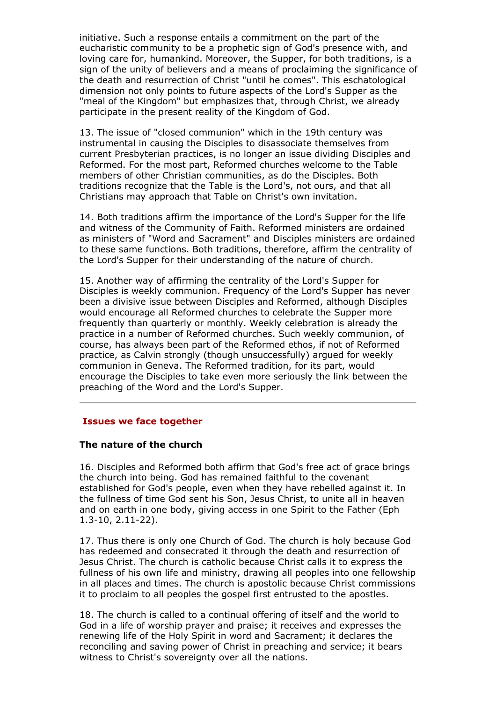initiative. Such a response entails a commitment on the part of the eucharistic community to be a prophetic sign of God's presence with, and loving care for, humankind. Moreover, the Supper, for both traditions, is a sign of the unity of believers and a means of proclaiming the significance of the death and resurrection of Christ "until he comes". This eschatological dimension not only points to future aspects of the Lord's Supper as the "meal of the Kingdom" but emphasizes that, through Christ, we already participate in the present reality of the Kingdom of God.

13. The issue of "closed communion" which in the 19th century was instrumental in causing the Disciples to disassociate themselves from current Presbyterian practices, is no longer an issue dividing Disciples and Reformed. For the most part, Reformed churches welcome to the Table members of other Christian communities, as do the Disciples. Both traditions recognize that the Table is the Lord's, not ours, and that all Christians may approach that Table on Christ's own invitation.

14. Both traditions affirm the importance of the Lord's Supper for the life and witness of the Community of Faith. Reformed ministers are ordained as ministers of "Word and Sacrament" and Disciples ministers are ordained to these same functions. Both traditions, therefore, affirm the centrality of the Lord's Supper for their understanding of the nature of church.

15. Another way of affirming the centrality of the Lord's Supper for Disciples is weekly communion. Frequency of the Lord's Supper has never been a divisive issue between Disciples and Reformed, although Disciples would encourage all Reformed churches to celebrate the Supper more frequently than quarterly or monthly. Weekly celebration is already the practice in a number of Reformed churches. Such weekly communion, of course, has always been part of the Reformed ethos, if not of Reformed practice, as Calvin strongly (though unsuccessfully) argued for weekly communion in Geneva. The Reformed tradition, for its part, would encourage the Disciples to take even more seriously the link between the preaching of the Word and the Lord's Supper.

### **Issues we face together**

#### **The nature of the church**

16. Disciples and Reformed both affirm that God's free act of grace brings the church into being. God has remained faithful to the covenant established for God's people, even when they have rebelled against it. In the fullness of time God sent his Son, Jesus Christ, to unite all in heaven and on earth in one body, giving access in one Spirit to the Father (Eph 1.3-10, 2.11-22).

17. Thus there is only one Church of God. The church is holy because God has redeemed and consecrated it through the death and resurrection of Jesus Christ. The church is catholic because Christ calls it to express the fullness of his own life and ministry, drawing all peoples into one fellowship in all places and times. The church is apostolic because Christ commissions it to proclaim to all peoples the gospel first entrusted to the apostles.

18. The church is called to a continual offering of itself and the world to God in a life of worship prayer and praise; it receives and expresses the renewing life of the Holy Spirit in word and Sacrament; it declares the reconciling and saving power of Christ in preaching and service; it bears witness to Christ's sovereignty over all the nations.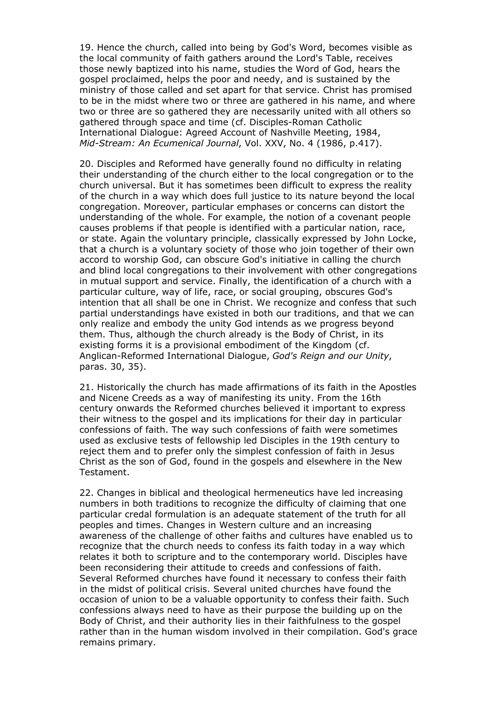19. Hence the church, called into being by God's Word, becomes visible as the local community of faith gathers around the Lord's Table, receives those newly baptized into his name, studies the Word of God, hears the gospel proclaimed, helps the poor and needy, and is sustained by the ministry of those called and set apart for that service. Christ has promised to be in the midst where two or three are gathered in his name, and where two or three are so gathered they are necessarily united with all others so gathered through space and time (cf. Disciples-Roman Catholic International Dialogue: Agreed Account of Nashville Meeting, 1984, *Mid-Stream: An Ecumenical Journal*, Vol. XXV, No. 4 (1986, p.417).

20. Disciples and Reformed have generally found no difficulty in relating their understanding of the church either to the local congregation or to the church universal. But it has sometimes been difficult to express the reality of the church in a way which does full justice to its nature beyond the local congregation. Moreover, particular emphases or concerns can distort the understanding of the whole. For example, the notion of a covenant people causes problems if that people is identified with a particular nation, race, or state. Again the voluntary principle, classically expressed by John Locke, that a church is a voluntary society of those who join together of their own accord to worship God, can obscure God's initiative in calling the church and blind local congregations to their involvement with other congregations in mutual support and service. Finally, the identification of a church with a particular culture, way of life, race, or social grouping, obscures God's intention that all shall be one in Christ. We recognize and confess that such partial understandings have existed in both our traditions, and that we can only realize and embody the unity God intends as we progress beyond them. Thus, although the church already is the Body of Christ, in its existing forms it is a provisional embodiment of the Kingdom (cf. Anglican-Reformed International Dialogue, *God's Reign and our Unity*, paras. 30, 35).

21. Historically the church has made affirmations of its faith in the Apostles and Nicene Creeds as a way of manifesting its unity. From the 16th century onwards the Reformed churches believed it important to express their witness to the gospel and its implications for their day in particular confessions of faith. The way such confessions of faith were sometimes used as exclusive tests of fellowship led Disciples in the 19th century to reject them and to prefer only the simplest confession of faith in Jesus Christ as the son of God, found in the gospels and elsewhere in the New Testament.

22. Changes in biblical and theological hermeneutics have led increasing numbers in both traditions to recognize the difficulty of claiming that one particular credal formulation is an adequate statement of the truth for all peoples and times. Changes in Western culture and an increasing awareness of the challenge of other faiths and cultures have enabled us to recognize that the church needs to confess its faith today in a way which relates it both to scripture and to the contemporary world. Disciples have been reconsidering their attitude to creeds and confessions of faith. Several Reformed churches have found it necessary to confess their faith in the midst of political crisis. Several united churches have found the occasion of union to be a valuable opportunity to confess their faith. Such confessions always need to have as their purpose the building up on the Body of Christ, and their authority lies in their faithfulness to the gospel rather than in the human wisdom involved in their compilation. God's grace remains primary.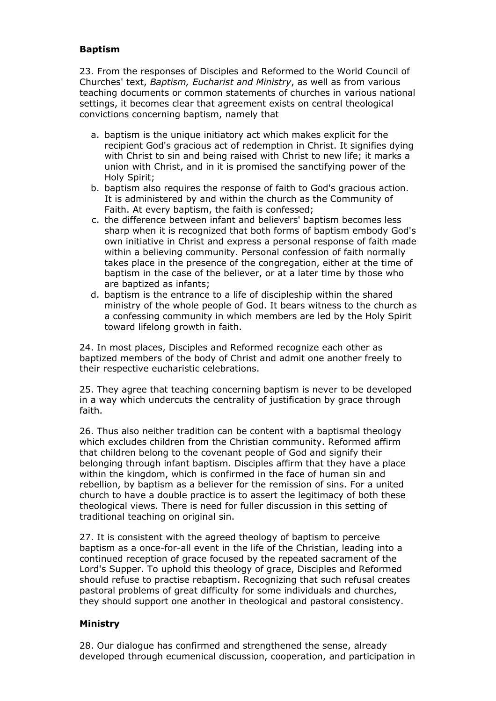## **Baptism**

23. From the responses of Disciples and Reformed to the World Council of Churches' text, *Baptism, Eucharist and Ministry*, as well as from various teaching documents or common statements of churches in various national settings, it becomes clear that agreement exists on central theological convictions concerning baptism, namely that

- a. baptism is the unique initiatory act which makes explicit for the recipient God's gracious act of redemption in Christ. It signifies dying with Christ to sin and being raised with Christ to new life; it marks a union with Christ, and in it is promised the sanctifying power of the Holy Spirit;
- b. baptism also requires the response of faith to God's gracious action. It is administered by and within the church as the Community of Faith. At every baptism, the faith is confessed;
- c. the difference between infant and believers' baptism becomes less sharp when it is recognized that both forms of baptism embody God's own initiative in Christ and express a personal response of faith made within a believing community. Personal confession of faith normally takes place in the presence of the congregation, either at the time of baptism in the case of the believer, or at a later time by those who are baptized as infants;
- d. baptism is the entrance to a life of discipleship within the shared ministry of the whole people of God. It bears witness to the church as a confessing community in which members are led by the Holy Spirit toward lifelong growth in faith.

24. In most places, Disciples and Reformed recognize each other as baptized members of the body of Christ and admit one another freely to their respective eucharistic celebrations.

25. They agree that teaching concerning baptism is never to be developed in a way which undercuts the centrality of justification by grace through faith.

26. Thus also neither tradition can be content with a baptismal theology which excludes children from the Christian community. Reformed affirm that children belong to the covenant people of God and signify their belonging through infant baptism. Disciples affirm that they have a place within the kingdom, which is confirmed in the face of human sin and rebellion, by baptism as a believer for the remission of sins. For a united church to have a double practice is to assert the legitimacy of both these theological views. There is need for fuller discussion in this setting of traditional teaching on original sin.

27. It is consistent with the agreed theology of baptism to perceive baptism as a once-for-all event in the life of the Christian, leading into a continued reception of grace focused by the repeated sacrament of the Lord's Supper. To uphold this theology of grace, Disciples and Reformed should refuse to practise rebaptism. Recognizing that such refusal creates pastoral problems of great difficulty for some individuals and churches, they should support one another in theological and pastoral consistency.

### **Ministry**

28. Our dialogue has confirmed and strengthened the sense, already developed through ecumenical discussion, cooperation, and participation in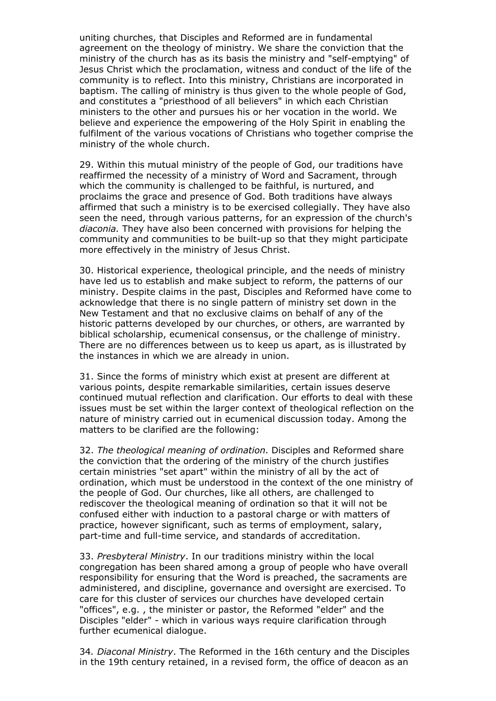uniting churches, that Disciples and Reformed are in fundamental agreement on the theology of ministry. We share the conviction that the ministry of the church has as its basis the ministry and "self-emptying" of Jesus Christ which the proclamation, witness and conduct of the life of the community is to reflect. Into this ministry, Christians are incorporated in baptism. The calling of ministry is thus given to the whole people of God, and constitutes a "priesthood of all believers" in which each Christian ministers to the other and pursues his or her vocation in the world. We believe and experience the empowering of the Holy Spirit in enabling the fulfilment of the various vocations of Christians who together comprise the ministry of the whole church.

29. Within this mutual ministry of the people of God, our traditions have reaffirmed the necessity of a ministry of Word and Sacrament, through which the community is challenged to be faithful, is nurtured, and proclaims the grace and presence of God. Both traditions have always affirmed that such a ministry is to be exercised collegially. They have also seen the need, through various patterns, for an expression of the church's *diaconia.* They have also been concerned with provisions for helping the community and communities to be built-up so that they might participate more effectively in the ministry of Jesus Christ.

30. Historical experience, theological principle, and the needs of ministry have led us to establish and make subject to reform, the patterns of our ministry. Despite claims in the past, Disciples and Reformed have come to acknowledge that there is no single pattern of ministry set down in the New Testament and that no exclusive claims on behalf of any of the historic patterns developed by our churches, or others, are warranted by biblical scholarship, ecumenical consensus, or the challenge of ministry. There are no differences between us to keep us apart, as is illustrated by the instances in which we are already in union.

31. Since the forms of ministry which exist at present are different at various points, despite remarkable similarities, certain issues deserve continued mutual reflection and clarification. Our efforts to deal with these issues must be set within the larger context of theological reflection on the nature of ministry carried out in ecumenical discussion today. Among the matters to be clarified are the following:

32. *The theological meaning of ordination*. Disciples and Reformed share the conviction that the ordering of the ministry of the church justifies certain ministries "set apart" within the ministry of all by the act of ordination, which must be understood in the context of the one ministry of the people of God. Our churches, like all others, are challenged to rediscover the theological meaning of ordination so that it will not be confused either with induction to a pastoral charge or with matters of practice, however significant, such as terms of employment, salary, part-time and full-time service, and standards of accreditation.

33. *Presbyteral Ministry*. In our traditions ministry within the local congregation has been shared among a group of people who have overall responsibility for ensuring that the Word is preached, the sacraments are administered, and discipline, governance and oversight are exercised. To care for this cluster of services our churches have developed certain "offices", e.g. , the minister or pastor, the Reformed "elder" and the Disciples "elder" - which in various ways require clarification through further ecumenical dialogue.

34*. Diaconal Ministry*. The Reformed in the 16th century and the Disciples in the 19th century retained, in a revised form, the office of deacon as an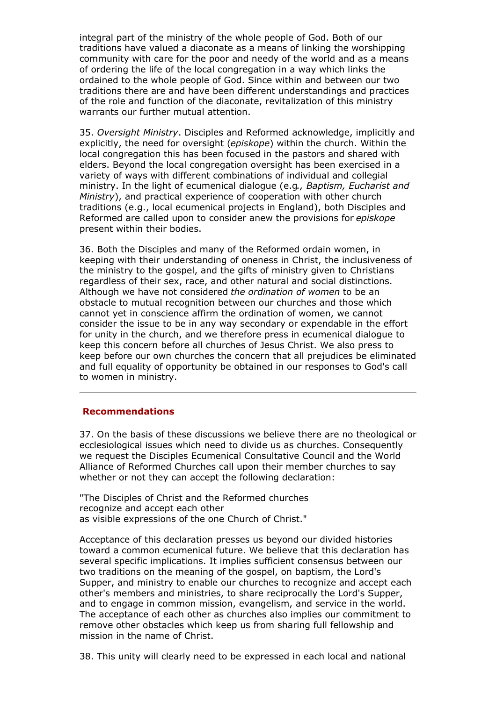integral part of the ministry of the whole people of God. Both of our traditions have valued a diaconate as a means of linking the worshipping community with care for the poor and needy of the world and as a means of ordering the life of the local congregation in a way which links the ordained to the whole people of God. Since within and between our two traditions there are and have been different understandings and practices of the role and function of the diaconate, revitalization of this ministry warrants our further mutual attention.

35. *Oversight Ministry*. Disciples and Reformed acknowledge, implicitly and explicitly, the need for oversight (*episkope*) within the church. Within the local congregation this has been focused in the pastors and shared with elders. Beyond the local congregation oversight has been exercised in a variety of ways with different combinations of individual and collegial ministry. In the light of ecumenical dialogue (e.g*., Baptism, Eucharist and Ministry*), and practical experience of cooperation with other church traditions (e.g., local ecumenical projects in England), both Disciples and Reformed are called upon to consider anew the provisions for *episkope* present within their bodies.

36. Both the Disciples and many of the Reformed ordain women, in keeping with their understanding of oneness in Christ, the inclusiveness of the ministry to the gospel, and the gifts of ministry given to Christians regardless of their sex, race, and other natural and social distinctions. Although we have not considered *the ordination of women* to be an obstacle to mutual recognition between our churches and those which cannot yet in conscience affirm the ordination of women, we cannot consider the issue to be in any way secondary or expendable in the effort for unity in the church, and we therefore press in ecumenical dialogue to keep this concern before all churches of Jesus Christ. We also press to keep before our own churches the concern that all prejudices be eliminated and full equality of opportunity be obtained in our responses to God's call to women in ministry.

#### **Recommendations**

37. On the basis of these discussions we believe there are no theological or ecclesiological issues which need to divide us as churches. Consequently we request the Disciples Ecumenical Consultative Council and the World Alliance of Reformed Churches call upon their member churches to say whether or not they can accept the following declaration:

"The Disciples of Christ and the Reformed churches recognize and accept each other as visible expressions of the one Church of Christ."

Acceptance of this declaration presses us beyond our divided histories toward a common ecumenical future. We believe that this declaration has several specific implications. It implies sufficient consensus between our two traditions on the meaning of the gospel, on baptism, the Lord's Supper, and ministry to enable our churches to recognize and accept each other's members and ministries, to share reciprocally the Lord's Supper, and to engage in common mission, evangelism, and service in the world. The acceptance of each other as churches also implies our commitment to remove other obstacles which keep us from sharing full fellowship and mission in the name of Christ.

38. This unity will clearly need to be expressed in each local and national